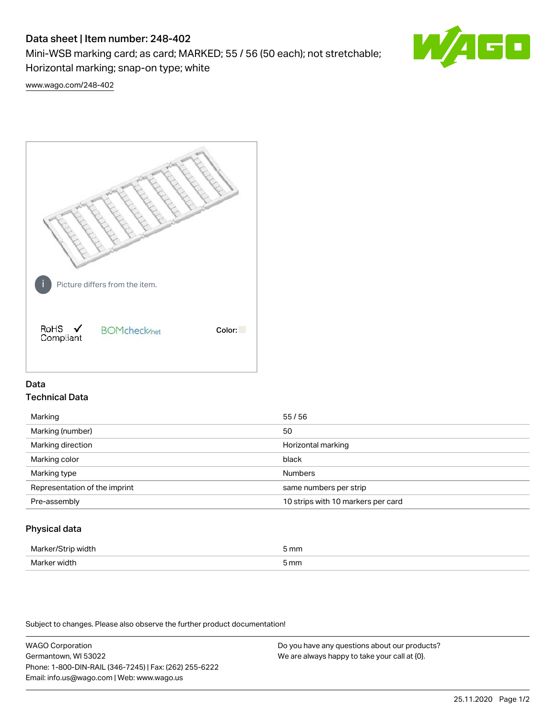# Data sheet | Item number: 248-402

Mini-WSB marking card; as card; MARKED; 55 / 56 (50 each); not stretchable; Horizontal marking; snap-on type; white



[www.wago.com/248-402](http://www.wago.com/248-402)



## Data Technical Data

| Marking                       | 55/56                              |
|-------------------------------|------------------------------------|
| Marking (number)              | 50                                 |
| Marking direction             | Horizontal marking                 |
| Marking color                 | black                              |
| Marking type                  | <b>Numbers</b>                     |
| Representation of the imprint | same numbers per strip             |
| Pre-assembly                  | 10 strips with 10 markers per card |
|                               |                                    |

## Physical data

| Mar                      | 5 mm |
|--------------------------|------|
| M <sub>cr</sub><br>width | 5 mm |

Subject to changes. Please also observe the further product documentation!

WAGO Corporation Germantown, WI 53022 Phone: 1-800-DIN-RAIL (346-7245) | Fax: (262) 255-6222 Email: info.us@wago.com | Web: www.wago.us Do you have any questions about our products? We are always happy to take your call at {0}.